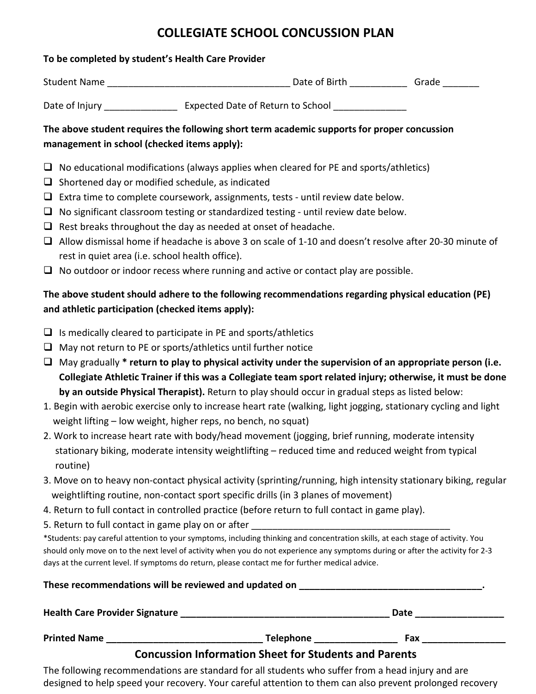# **COLLEGIATE SCHOOL CONCUSSION PLAN**

#### **To be completed by student's Health Care Provider**

| <b>Student Name</b> | Date of Birth | Grade |
|---------------------|---------------|-------|
|                     |               |       |

Date of Injury \_\_\_\_\_\_\_\_\_\_\_\_\_\_\_\_\_\_\_ Expected Date of Return to School \_\_\_\_\_\_\_\_\_\_\_

### **The above student requires the following short term academic supports for proper concussion management in school (checked items apply):**

- $\Box$  No educational modifications (always applies when cleared for PE and sports/athletics)
- $\Box$  Shortened day or modified schedule, as indicated
- $\Box$  Extra time to complete coursework, assignments, tests until review date below.
- $\Box$  No significant classroom testing or standardized testing until review date below.
- $\Box$  Rest breaks throughout the day as needed at onset of headache.
- Allow dismissal home if headache is above 3 on scale of 1-10 and doesn't resolve after 20-30 minute of rest in quiet area (i.e. school health office).
- $\Box$  No outdoor or indoor recess where running and active or contact play are possible.

## **The above student should adhere to the following recommendations regarding physical education (PE) and athletic participation (checked items apply):**

- $\Box$  Is medically cleared to participate in PE and sports/athletics
- $\Box$  May not return to PE or sports/athletics until further notice
- May gradually **\* return to play to physical activity under the supervision of an appropriate person (i.e. Collegiate Athletic Trainer if this was a Collegiate team sport related injury; otherwise, it must be done by an outside Physical Therapist).** Return to play should occur in gradual steps as listed below:
- 1. Begin with aerobic exercise only to increase heart rate (walking, light jogging, stationary cycling and light weight lifting – low weight, higher reps, no bench, no squat)
- 2. Work to increase heart rate with body/head movement (jogging, brief running, moderate intensity stationary biking, moderate intensity weightlifting – reduced time and reduced weight from typical routine)
- 3. Move on to heavy non-contact physical activity (sprinting/running, high intensity stationary biking, regular weightlifting routine, non-contact sport specific drills (in 3 planes of movement)
- 4. Return to full contact in controlled practice (before return to full contact in game play).
- 5. Return to full contact in game play on or after

\*Students: pay careful attention to your symptoms, including thinking and concentration skills, at each stage of activity. You should only move on to the next level of activity when you do not experience any symptoms during or after the activity for 2-3 days at the current level. If symptoms do return, please contact me for further medical advice.

| These recommendations will be reviewed and updated on |                                                              |      |  |
|-------------------------------------------------------|--------------------------------------------------------------|------|--|
| <b>Health Care Provider Signature</b>                 |                                                              | Date |  |
| <b>Printed Name</b>                                   | <b>Telephone</b>                                             | Fax  |  |
|                                                       | <b>Concussion Information Sheet for Students and Parents</b> |      |  |

The following recommendations are standard for all students who suffer from a head injury and are designed to help speed your recovery. Your careful attention to them can also prevent prolonged recovery